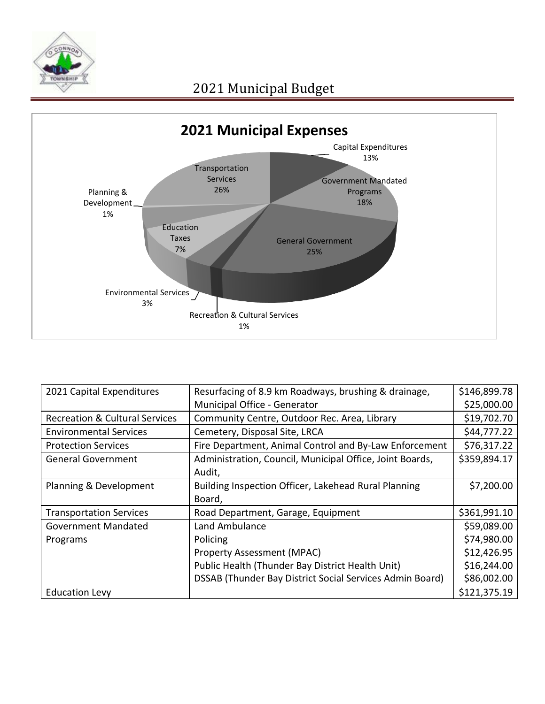



| 2021 Capital Expenditures                 | Resurfacing of 8.9 km Roadways, brushing & drainage,     | \$146,899.78 |
|-------------------------------------------|----------------------------------------------------------|--------------|
|                                           | Municipal Office - Generator                             | \$25,000.00  |
| <b>Recreation &amp; Cultural Services</b> | Community Centre, Outdoor Rec. Area, Library             | \$19,702.70  |
| <b>Environmental Services</b>             | Cemetery, Disposal Site, LRCA                            | \$44,777.22  |
| <b>Protection Services</b>                | Fire Department, Animal Control and By-Law Enforcement   | \$76,317.22  |
| <b>General Government</b>                 | Administration, Council, Municipal Office, Joint Boards, | \$359,894.17 |
|                                           | Audit,                                                   |              |
| Planning & Development                    | Building Inspection Officer, Lakehead Rural Planning     | \$7,200.00   |
|                                           | Board,                                                   |              |
| <b>Transportation Services</b>            | Road Department, Garage, Equipment                       | \$361,991.10 |
| <b>Government Mandated</b>                | Land Ambulance                                           | \$59,089.00  |
| Programs                                  | Policing                                                 | \$74,980.00  |
|                                           | <b>Property Assessment (MPAC)</b>                        | \$12,426.95  |
|                                           | Public Health (Thunder Bay District Health Unit)         | \$16,244.00  |
|                                           | DSSAB (Thunder Bay District Social Services Admin Board) | \$86,002.00  |
| <b>Education Levy</b>                     |                                                          | \$121,375.19 |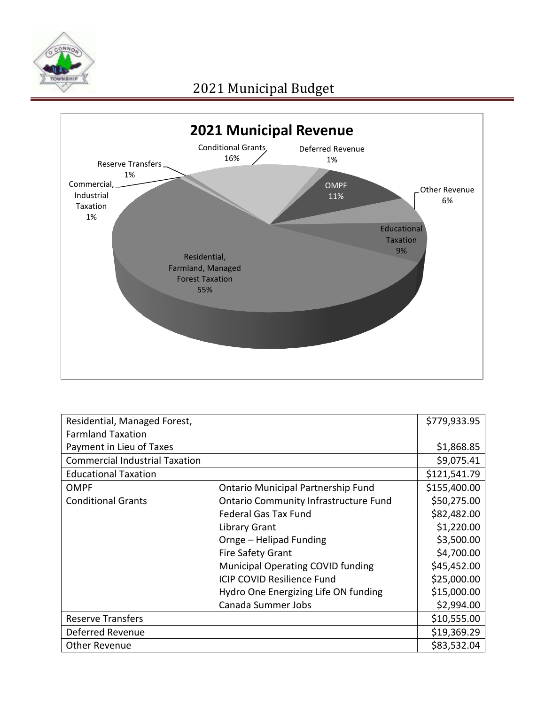

## 2021 Municipal Budget



| Residential, Managed Forest,          |                                              | \$779,933.95 |
|---------------------------------------|----------------------------------------------|--------------|
| <b>Farmland Taxation</b>              |                                              |              |
| Payment in Lieu of Taxes              |                                              | \$1,868.85   |
| <b>Commercial Industrial Taxation</b> |                                              | \$9,075.41   |
| <b>Educational Taxation</b>           |                                              | \$121,541.79 |
| <b>OMPF</b>                           | <b>Ontario Municipal Partnership Fund</b>    | \$155,400.00 |
| <b>Conditional Grants</b>             | <b>Ontario Community Infrastructure Fund</b> | \$50,275.00  |
|                                       | <b>Federal Gas Tax Fund</b>                  | \$82,482.00  |
|                                       | <b>Library Grant</b>                         | \$1,220.00   |
|                                       | Ornge - Helipad Funding                      | \$3,500.00   |
|                                       | Fire Safety Grant                            | \$4,700.00   |
|                                       | <b>Municipal Operating COVID funding</b>     | \$45,452.00  |
|                                       | <b>ICIP COVID Resilience Fund</b>            | \$25,000.00  |
|                                       | Hydro One Energizing Life ON funding         | \$15,000.00  |
|                                       | Canada Summer Jobs                           | \$2,994.00   |
| <b>Reserve Transfers</b>              |                                              | \$10,555.00  |
| Deferred Revenue                      |                                              | \$19,369.29  |
| <b>Other Revenue</b>                  |                                              | \$83,532.04  |